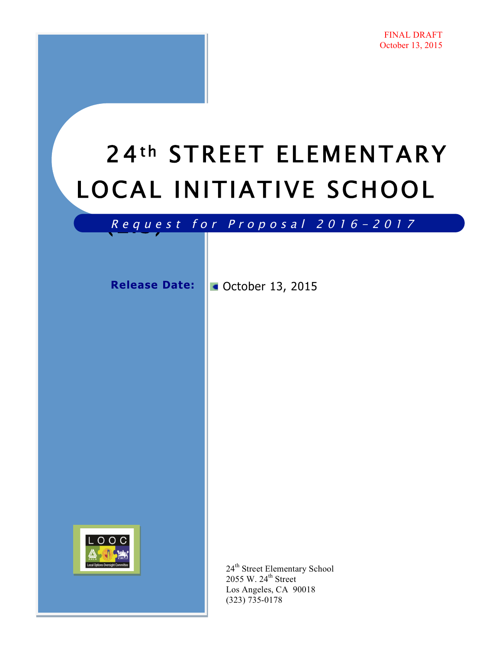# 24th STREET ELEMENTARY LOCAL INITIATIVE SCHOOL

# R equest for Proposal 2016 - 2017

Release Date: **CE** October 13, 2015



24<sup>th</sup> Street Elementary School 2055 W. 24<sup>th</sup> Street Los Angeles, CA 90018 (323) 735-0178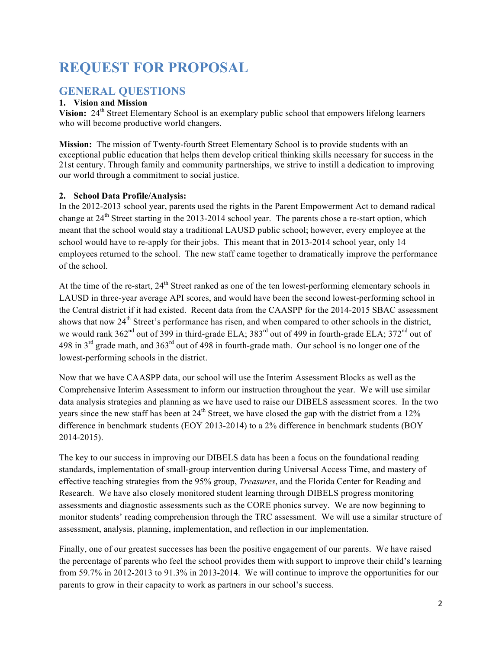## **REQUEST FOR PROPOSAL**

### **GENERAL QUESTIONS**

#### **1. Vision and Mission**

**Vision:** 24<sup>th</sup> Street Elementary School is an exemplary public school that empowers lifelong learners who will become productive world changers.

**Mission:** The mission of Twenty-fourth Street Elementary School is to provide students with an exceptional public education that helps them develop critical thinking skills necessary for success in the 21st century. Through family and community partnerships, we strive to instill a dedication to improving our world through a commitment to social justice.

#### **2. School Data Profile/Analysis:**

In the 2012-2013 school year, parents used the rights in the Parent Empowerment Act to demand radical change at  $24<sup>th</sup>$  Street starting in the 2013-2014 school year. The parents chose a re-start option, which meant that the school would stay a traditional LAUSD public school; however, every employee at the school would have to re-apply for their jobs. This meant that in 2013-2014 school year, only 14 employees returned to the school. The new staff came together to dramatically improve the performance of the school.

At the time of the re-start, 24<sup>th</sup> Street ranked as one of the ten lowest-performing elementary schools in LAUSD in three-year average API scores, and would have been the second lowest-performing school in the Central district if it had existed. Recent data from the CAASPP for the 2014-2015 SBAC assessment shows that now 24<sup>th</sup> Street's performance has risen, and when compared to other schools in the district, we would rank 362<sup>nd</sup> out of 399 in third-grade ELA; 383<sup>rd</sup> out of 499 in fourth-grade ELA; 372<sup>nd</sup> out of 498 in  $3^{rd}$  grade math, and  $363^{rd}$  out of 498 in fourth-grade math. Our school is no longer one of the lowest-performing schools in the district.

Now that we have CAASPP data, our school will use the Interim Assessment Blocks as well as the Comprehensive Interim Assessment to inform our instruction throughout the year. We will use similar data analysis strategies and planning as we have used to raise our DIBELS assessment scores. In the two years since the new staff has been at  $24<sup>th</sup>$  Street, we have closed the gap with the district from a 12% difference in benchmark students (EOY 2013-2014) to a 2% difference in benchmark students (BOY 2014-2015).

The key to our success in improving our DIBELS data has been a focus on the foundational reading standards, implementation of small-group intervention during Universal Access Time, and mastery of effective teaching strategies from the 95% group, *Treasures*, and the Florida Center for Reading and Research. We have also closely monitored student learning through DIBELS progress monitoring assessments and diagnostic assessments such as the CORE phonics survey. We are now beginning to monitor students' reading comprehension through the TRC assessment. We will use a similar structure of assessment, analysis, planning, implementation, and reflection in our implementation.

Finally, one of our greatest successes has been the positive engagement of our parents. We have raised the percentage of parents who feel the school provides them with support to improve their child's learning from 59.7% in 2012-2013 to 91.3% in 2013-2014. We will continue to improve the opportunities for our parents to grow in their capacity to work as partners in our school's success.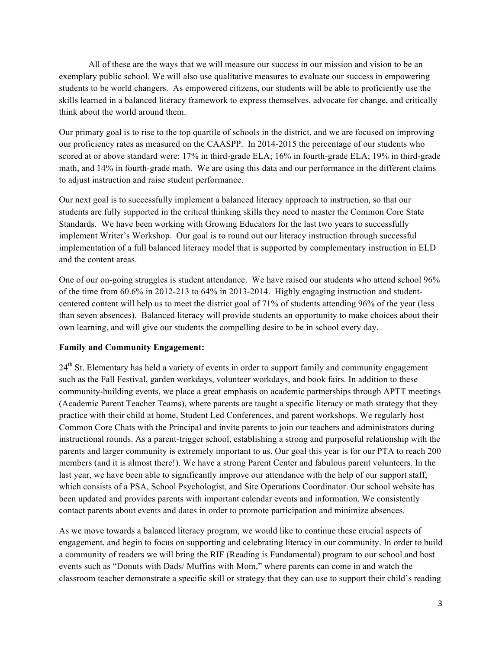All of these are the ways that we will measure our success in our mission and vision to be an exemplary public school. We will also use qualitative measures to evaluate our success in empowering students to be world changers. As empowered citizens, our students will be able to proficiently use the skills learned in a balanced literacy framework to express themselves, advocate for change, and critically think about the world around them.

Our primary goal is to rise to the top quartile of schools in the district, and we are focused on improving our proficiency rates as measured on the CAASPP. In 2014-2015 the percentage of our students who scored at or above standard were: 17% in third-grade ELA; 16% in fourth-grade ELA; 19% in third-grade math, and 14% in fourth-grade math. We are using this data and our performance in the different claims to adjust instruction and raise student performance.

Our next goal is to successfully implement a balanced literacy approach to instruction, so that our students are fully supported in the critical thinking skills they need to master the Common Core State Standards. We have been working with Growing Educators for the last two years to successfully implement Writer's Workshop. Our goal is to round out our literacy instruction through successful implementation of a full balanced literacy model that is supported by complementary instruction in ELD and the content areas.

One of our on-going struggles is student attendance. We have raised our students who attend school 96% of the time from 60.6% in 2012-213 to 64% in 2013-2014. Highly engaging instruction and studentcentered content will help us to meet the district goal of 71% of students attending 96% of the year (less than seven absences). Balanced literacy will provide students an opportunity to make choices about their own learning, and will give our students the compelling desire to be in school every day.

#### **Family and Community Engagement:**

24<sup>th</sup> St. Elementary has held a variety of events in order to support family and community engagement such as the Fall Festival, garden workdays, volunteer workdays, and book fairs. In addition to these community-building events, we place a great emphasis on academic partnerships through APTT meetings (Academic Parent Teacher Teams), where parents are taught a specific literacy or math strategy that they practice with their child at home, Student Led Conferences, and parent workshops. We regularly host Common Core Chats with the Principal and invite parents to join our teachers and administrators during instructional rounds. As a parent-trigger school, establishing a strong and purposeful relationship with the parents and larger community is extremely important to us. Our goal this year is for our PTA to reach 200 members (and it is almost there!). We have a strong Parent Center and fabulous parent volunteers. In the last year, we have been able to significantly improve our attendance with the help of our support staff, which consists of a PSA, School Psychologist, and Site Operations Coordinator. Our school website has been updated and provides parents with important calendar events and information. We consistently contact parents about events and dates in order to promote participation and minimize absences.

As we move towards a balanced literacy program, we would like to continue these crucial aspects of engagement, and begin to focus on supporting and celebrating literacy in our community. In order to build a community of readers we will bring the RIF (Reading is Fundamental) program to our school and host events such as "Donuts with Dads/ Muffins with Mom," where parents can come in and watch the classroom teacher demonstrate a specific skill or strategy that they can use to support their child's reading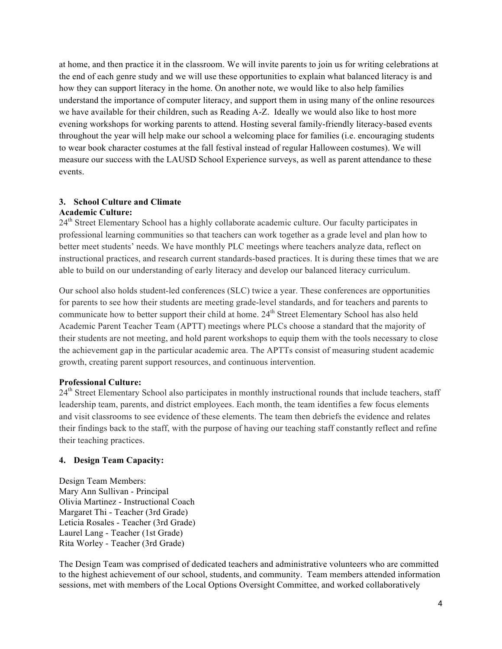at home, and then practice it in the classroom. We will invite parents to join us for writing celebrations at the end of each genre study and we will use these opportunities to explain what balanced literacy is and how they can support literacy in the home. On another note, we would like to also help families understand the importance of computer literacy, and support them in using many of the online resources we have available for their children, such as Reading A-Z. Ideally we would also like to host more evening workshops for working parents to attend. Hosting several family-friendly literacy-based events throughout the year will help make our school a welcoming place for families (i.e. encouraging students to wear book character costumes at the fall festival instead of regular Halloween costumes). We will measure our success with the LAUSD School Experience surveys, as well as parent attendance to these events.

#### **3. School Culture and Climate**

#### **Academic Culture:**

24<sup>th</sup> Street Elementary School has a highly collaborate academic culture. Our faculty participates in professional learning communities so that teachers can work together as a grade level and plan how to better meet students' needs. We have monthly PLC meetings where teachers analyze data, reflect on instructional practices, and research current standards-based practices. It is during these times that we are able to build on our understanding of early literacy and develop our balanced literacy curriculum.

Our school also holds student-led conferences (SLC) twice a year. These conferences are opportunities for parents to see how their students are meeting grade-level standards, and for teachers and parents to communicate how to better support their child at home. 24<sup>th</sup> Street Elementary School has also held Academic Parent Teacher Team (APTT) meetings where PLCs choose a standard that the majority of their students are not meeting, and hold parent workshops to equip them with the tools necessary to close the achievement gap in the particular academic area. The APTTs consist of measuring student academic growth, creating parent support resources, and continuous intervention.

#### **Professional Culture:**

24<sup>th</sup> Street Elementary School also participates in monthly instructional rounds that include teachers, staff leadership team, parents, and district employees. Each month, the team identifies a few focus elements and visit classrooms to see evidence of these elements. The team then debriefs the evidence and relates their findings back to the staff, with the purpose of having our teaching staff constantly reflect and refine their teaching practices.

#### **4. Design Team Capacity:**

Design Team Members: Mary Ann Sullivan - Principal Olivia Martinez - Instructional Coach Margaret Thi - Teacher (3rd Grade) Leticia Rosales - Teacher (3rd Grade) Laurel Lang - Teacher (1st Grade) Rita Worley - Teacher (3rd Grade)

The Design Team was comprised of dedicated teachers and administrative volunteers who are committed to the highest achievement of our school, students, and community. Team members attended information sessions, met with members of the Local Options Oversight Committee, and worked collaboratively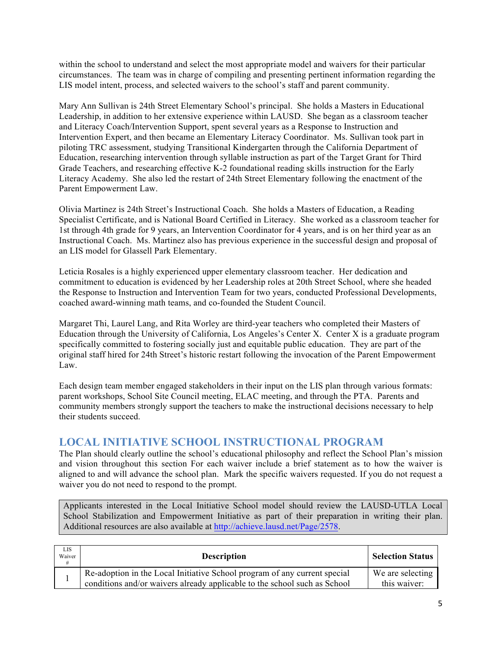within the school to understand and select the most appropriate model and waivers for their particular circumstances. The team was in charge of compiling and presenting pertinent information regarding the LIS model intent, process, and selected waivers to the school's staff and parent community.

Mary Ann Sullivan is 24th Street Elementary School's principal. She holds a Masters in Educational Leadership, in addition to her extensive experience within LAUSD. She began as a classroom teacher and Literacy Coach/Intervention Support, spent several years as a Response to Instruction and Intervention Expert, and then became an Elementary Literacy Coordinator. Ms. Sullivan took part in piloting TRC assessment, studying Transitional Kindergarten through the California Department of Education, researching intervention through syllable instruction as part of the Target Grant for Third Grade Teachers, and researching effective K-2 foundational reading skills instruction for the Early Literacy Academy. She also led the restart of 24th Street Elementary following the enactment of the Parent Empowerment Law.

Olivia Martinez is 24th Street's Instructional Coach. She holds a Masters of Education, a Reading Specialist Certificate, and is National Board Certified in Literacy. She worked as a classroom teacher for 1st through 4th grade for 9 years, an Intervention Coordinator for 4 years, and is on her third year as an Instructional Coach. Ms. Martinez also has previous experience in the successful design and proposal of an LIS model for Glassell Park Elementary.

Leticia Rosales is a highly experienced upper elementary classroom teacher. Her dedication and commitment to education is evidenced by her Leadership roles at 20th Street School, where she headed the Response to Instruction and Intervention Team for two years, conducted Professional Developments, coached award-winning math teams, and co-founded the Student Council.

Margaret Thi, Laurel Lang, and Rita Worley are third-year teachers who completed their Masters of Education through the University of California, Los Angeles's Center X. Center X is a graduate program specifically committed to fostering socially just and equitable public education. They are part of the original staff hired for 24th Street's historic restart following the invocation of the Parent Empowerment Law.

Each design team member engaged stakeholders in their input on the LIS plan through various formats: parent workshops, School Site Council meeting, ELAC meeting, and through the PTA. Parents and community members strongly support the teachers to make the instructional decisions necessary to help their students succeed.

#### **LOCAL INITIATIVE SCHOOL INSTRUCTIONAL PROGRAM**

The Plan should clearly outline the school's educational philosophy and reflect the School Plan's mission and vision throughout this section For each waiver include a brief statement as to how the waiver is aligned to and will advance the school plan. Mark the specific waivers requested. If you do not request a waiver you do not need to respond to the prompt.

Applicants interested in the Local Initiative School model should review the LAUSD-UTLA Local School Stabilization and Empowerment Initiative as part of their preparation in writing their plan. Additional resources are also available at http://achieve.lausd.net/Page/2578.

| LIS<br>Waiver | <b>Description</b>                                                                                                                                     | <b>Selection Status</b>          |
|---------------|--------------------------------------------------------------------------------------------------------------------------------------------------------|----------------------------------|
|               | Re-adoption in the Local Initiative School program of any current special<br>conditions and/or waivers already applicable to the school such as School | We are selecting<br>this waiver: |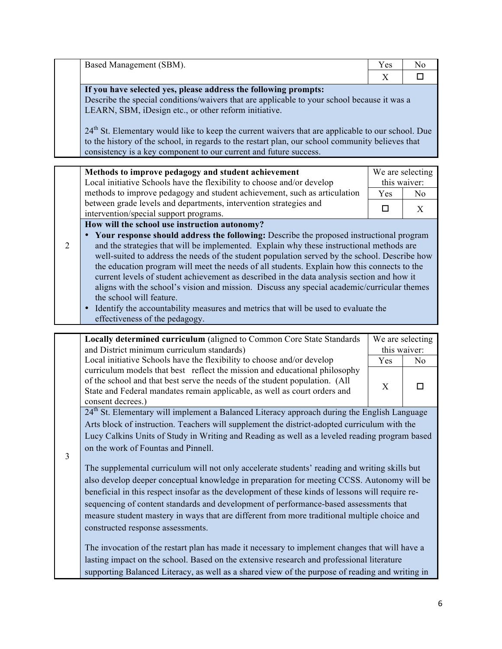|                | Based Management (SBM).                                                                                                                                                                                                                                                                                                                                                                                                                                                                                                                                                                                                                                                                                                              | Yes              | No             |
|----------------|--------------------------------------------------------------------------------------------------------------------------------------------------------------------------------------------------------------------------------------------------------------------------------------------------------------------------------------------------------------------------------------------------------------------------------------------------------------------------------------------------------------------------------------------------------------------------------------------------------------------------------------------------------------------------------------------------------------------------------------|------------------|----------------|
|                |                                                                                                                                                                                                                                                                                                                                                                                                                                                                                                                                                                                                                                                                                                                                      | X                | □              |
|                | If you have selected yes, please address the following prompts:<br>Describe the special conditions/waivers that are applicable to your school because it was a<br>LEARN, SBM, iDesign etc., or other reform initiative.<br>24 <sup>th</sup> St. Elementary would like to keep the current waivers that are applicable to our school. Due<br>to the history of the school, in regards to the restart plan, our school community believes that<br>consistency is a key component to our current and future success.                                                                                                                                                                                                                    |                  |                |
|                | Methods to improve pedagogy and student achievement                                                                                                                                                                                                                                                                                                                                                                                                                                                                                                                                                                                                                                                                                  | We are selecting |                |
|                | Local initiative Schools have the flexibility to choose and/or develop                                                                                                                                                                                                                                                                                                                                                                                                                                                                                                                                                                                                                                                               | this waiver:     |                |
|                | methods to improve pedagogy and student achievement, such as articulation                                                                                                                                                                                                                                                                                                                                                                                                                                                                                                                                                                                                                                                            | Yes              | N <sub>0</sub> |
|                | between grade levels and departments, intervention strategies and                                                                                                                                                                                                                                                                                                                                                                                                                                                                                                                                                                                                                                                                    | $\Box$           | X              |
|                | intervention/special support programs.<br>How will the school use instruction autonomy?                                                                                                                                                                                                                                                                                                                                                                                                                                                                                                                                                                                                                                              |                  |                |
| $\overline{2}$ | Your response should address the following: Describe the proposed instructional program<br>and the strategies that will be implemented. Explain why these instructional methods are<br>well-suited to address the needs of the student population served by the school. Describe how<br>the education program will meet the needs of all students. Explain how this connects to the<br>current levels of student achievement as described in the data analysis section and how it<br>aligns with the school's vision and mission. Discuss any special academic/curricular themes<br>the school will feature.<br>Identify the accountability measures and metrics that will be used to evaluate the<br>effectiveness of the pedagogy. |                  |                |
|                | Locally determined curriculum (aligned to Common Core State Standards                                                                                                                                                                                                                                                                                                                                                                                                                                                                                                                                                                                                                                                                | We are selecting |                |
|                | and District minimum curriculum standards)                                                                                                                                                                                                                                                                                                                                                                                                                                                                                                                                                                                                                                                                                           | this waiver:     |                |
|                | Local initiative Schools have the flexibility to choose and/or develop                                                                                                                                                                                                                                                                                                                                                                                                                                                                                                                                                                                                                                                               | Yes              | No             |
|                | curriculum models that best reflect the mission and educational philosophy<br>of the school and that best serve the needs of the student population. (All<br>State and Federal mandates remain applicable, as well as court orders and<br>consent decrees.)                                                                                                                                                                                                                                                                                                                                                                                                                                                                          | X                | □              |
|                | 24 <sup>th</sup> St. Elementary will implement a Balanced Literacy approach during the English Language                                                                                                                                                                                                                                                                                                                                                                                                                                                                                                                                                                                                                              |                  |                |
|                | Arts block of instruction. Teachers will supplement the district-adopted curriculum with the                                                                                                                                                                                                                                                                                                                                                                                                                                                                                                                                                                                                                                         |                  |                |
|                | Lucy Calkins Units of Study in Writing and Reading as well as a leveled reading program based                                                                                                                                                                                                                                                                                                                                                                                                                                                                                                                                                                                                                                        |                  |                |
| 3              | on the work of Fountas and Pinnell.                                                                                                                                                                                                                                                                                                                                                                                                                                                                                                                                                                                                                                                                                                  |                  |                |
|                | The supplemental curriculum will not only accelerate students' reading and writing skills but                                                                                                                                                                                                                                                                                                                                                                                                                                                                                                                                                                                                                                        |                  |                |
|                | also develop deeper conceptual knowledge in preparation for meeting CCSS. Autonomy will be                                                                                                                                                                                                                                                                                                                                                                                                                                                                                                                                                                                                                                           |                  |                |
|                | beneficial in this respect insofar as the development of these kinds of lessons will require re-                                                                                                                                                                                                                                                                                                                                                                                                                                                                                                                                                                                                                                     |                  |                |
|                | sequencing of content standards and development of performance-based assessments that                                                                                                                                                                                                                                                                                                                                                                                                                                                                                                                                                                                                                                                |                  |                |
|                | measure student mastery in ways that are different from more traditional multiple choice and<br>constructed response assessments.                                                                                                                                                                                                                                                                                                                                                                                                                                                                                                                                                                                                    |                  |                |
|                |                                                                                                                                                                                                                                                                                                                                                                                                                                                                                                                                                                                                                                                                                                                                      |                  |                |
|                | The invocation of the restart plan has made it necessary to implement changes that will have a                                                                                                                                                                                                                                                                                                                                                                                                                                                                                                                                                                                                                                       |                  |                |
|                | lasting impact on the school. Based on the extensive research and professional literature                                                                                                                                                                                                                                                                                                                                                                                                                                                                                                                                                                                                                                            |                  |                |
|                | supporting Balanced Literacy, as well as a shared view of the purpose of reading and writing in                                                                                                                                                                                                                                                                                                                                                                                                                                                                                                                                                                                                                                      |                  |                |

L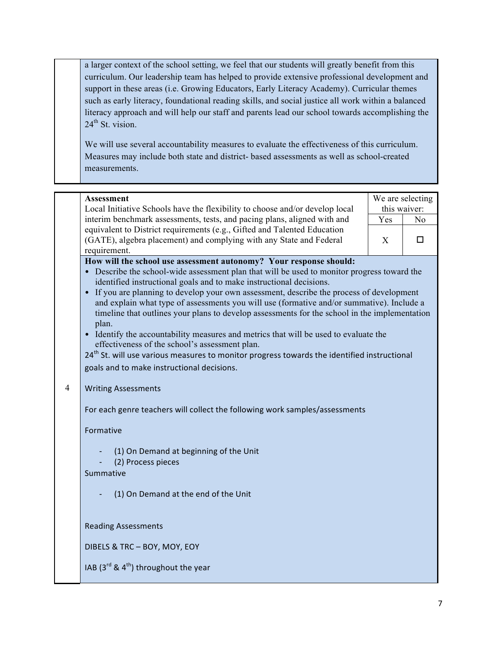a larger context of the school setting, we feel that our students will greatly benefit from this curriculum. Our leadership team has helped to provide extensive professional development and support in these areas (i.e. Growing Educators, Early Literacy Academy). Curricular themes such as early literacy, foundational reading skills, and social justice all work within a balanced literacy approach and will help our staff and parents lead our school towards accomplishing the  $24^{\text{th}}$  St. vision.

We will use several accountability measures to evaluate the effectiveness of this curriculum. Measures may include both state and district- based assessments as well as school-created measurements.

#### **Assessment**

Local Initiative Schools have the flexibility to choose and/or develop local interim benchmark assessments, tests, and pacing plans, aligned with and equivalent to District requirements (e.g., Gifted and Talented Education (GATE), algebra placement) and complying with any State and Federal requirement.

| We are selecting |  |  |  |
|------------------|--|--|--|
| this waiver:     |  |  |  |
| N٥<br>Yes        |  |  |  |
| X                |  |  |  |

**How will the school use assessment autonomy? Your response should:**

- Describe the school-wide assessment plan that will be used to monitor progress toward the identified instructional goals and to make instructional decisions.
- If you are planning to develop your own assessment, describe the process of development and explain what type of assessments you will use (formative and/or summative). Include a timeline that outlines your plans to develop assessments for the school in the implementation plan.
- Identify the accountability measures and metrics that will be used to evaluate the effectiveness of the school's assessment plan.

24<sup>th</sup> St. will use various measures to monitor progress towards the identified instructional goals and to make instructional decisions.

#### 4 Writing Assessments

For each genre teachers will collect the following work samples/assessments

Formative 

- (1) On Demand at beginning of the Unit
- (2) Process pieces

Summative

(1) On Demand at the end of the Unit

Reading Assessments 

DIBELS & TRC - BOY, MOY, EOY

IAB  $(3^{rd}$  &  $4^{th}$ ) throughout the year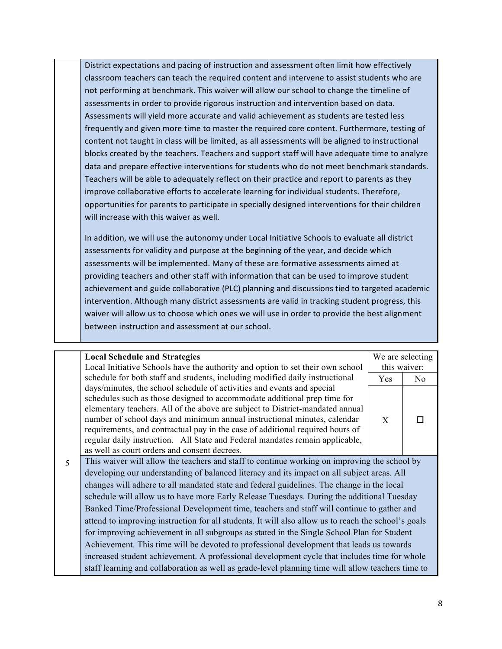District expectations and pacing of instruction and assessment often limit how effectively classroom teachers can teach the required content and intervene to assist students who are not performing at benchmark. This waiver will allow our school to change the timeline of assessments in order to provide rigorous instruction and intervention based on data. Assessments will yield more accurate and valid achievement as students are tested less frequently and given more time to master the required core content. Furthermore, testing of content not taught in class will be limited, as all assessments will be aligned to instructional blocks created by the teachers. Teachers and support staff will have adequate time to analyze data and prepare effective interventions for students who do not meet benchmark standards. Teachers will be able to adequately reflect on their practice and report to parents as they improve collaborative efforts to accelerate learning for individual students. Therefore, opportunities for parents to participate in specially designed interventions for their children will increase with this waiver as well.

In addition, we will use the autonomy under Local Initiative Schools to evaluate all district assessments for validity and purpose at the beginning of the year, and decide which assessments will be implemented. Many of these are formative assessments aimed at providing teachers and other staff with information that can be used to improve student achievement and guide collaborative (PLC) planning and discussions tied to targeted academic intervention. Although many district assessments are valid in tracking student progress, this waiver will allow us to choose which ones we will use in order to provide the best alignment between instruction and assessment at our school.

**Local Schedule and Strategies** Local Initiative Schools have the authority and option to set their own school schedule for both staff and students, including modified daily instructional days/minutes, the school schedule of activities and events and special schedules such as those designed to accommodate additional prep time for elementary teachers. All of the above are subject to District-mandated annual number of school days and minimum annual instructional minutes, calendar requirements, and contractual pay in the case of additional required hours of regular daily instruction. All State and Federal mandates remain applicable, as well as court orders and consent decrees. We are selecting this waiver: Yes No  $X$   $\square$ 

5 This waiver will allow the teachers and staff to continue working on improving the school by developing our understanding of balanced literacy and its impact on all subject areas. All changes will adhere to all mandated state and federal guidelines. The change in the local schedule will allow us to have more Early Release Tuesdays. During the additional Tuesday Banked Time/Professional Development time, teachers and staff will continue to gather and attend to improving instruction for all students. It will also allow us to reach the school's goals for improving achievement in all subgroups as stated in the Single School Plan for Student Achievement. This time will be devoted to professional development that leads us towards increased student achievement. A professional development cycle that includes time for whole staff learning and collaboration as well as grade-level planning time will allow teachers time to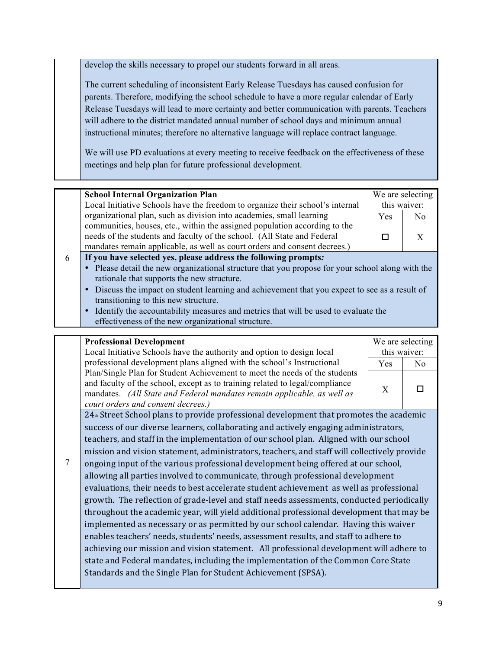develop the skills necessary to propel our students forward in all areas.

The current scheduling of inconsistent Early Release Tuesdays has caused confusion for parents. Therefore, modifying the school schedule to have a more regular calendar of Early Release Tuesdays will lead to more certainty and better communication with parents. Teachers will adhere to the district mandated annual number of school days and minimum annual instructional minutes; therefore no alternative language will replace contract language.

We will use PD evaluations at every meeting to receive feedback on the effectiveness of these meetings and help plan for future professional development.

#### **School Internal Organization Plan**

Local Initiative Schools have the freedom to organize their school's internal organizational plan, such as division into academies, small learning communities, houses, etc., within the assigned population according to the needs of the students and faculty of the school. (All State and Federal mandates remain applicable, as well as court orders and consent decrees.)

| We are selecting |  |  |  |
|------------------|--|--|--|
| this waiver:     |  |  |  |
| N٥<br>Yes        |  |  |  |
|                  |  |  |  |

#### 6 **If you have selected yes, please address the following prompts***:*

- Please detail the new organizational structure that you propose for your school along with the rationale that supports the new structure.
- Discuss the impact on student learning and achievement that you expect to see as a result of transitioning to this new structure.
- Identify the accountability measures and metrics that will be used to evaluate the effectiveness of the new organizational structure.

#### **Professional Development**

Local Initiative Schools have the authority and option to design local professional development plans aligned with the school's Instructional Plan/Single Plan for Student Achievement to meet the needs of the students and faculty of the school, except as to training related to legal/compliance mandates. *(All State and Federal mandates remain applicable, as well as court orders and consent decrees.)*

|           | We are selecting<br>this waiver: |  |  |
|-----------|----------------------------------|--|--|
| Yes<br>N٥ |                                  |  |  |
|           | X                                |  |  |

 $24<sub>th</sub>$  Street School plans to provide professional development that promotes the academic success of our diverse learners, collaborating and actively engaging administrators, teachers, and staff in the implementation of our school plan. Aligned with our school mission and vision statement, administrators, teachers, and staff will collectively provide

7 ongoing input of the various professional development being offered at our school, allowing all parties involved to communicate, through professional development evaluations, their needs to best accelerate student achievement as well as professional growth. The reflection of grade-level and staff needs assessments, conducted periodically throughout the academic year, will yield additional professional development that may be implemented as necessary or as permitted by our school calendar. Having this waiver enables teachers' needs, students' needs, assessment results, and staff to adhere to achieving our mission and vision statement. All professional development will adhere to state and Federal mandates, including the implementation of the Common Core State Standards and the Single Plan for Student Achievement (SPSA).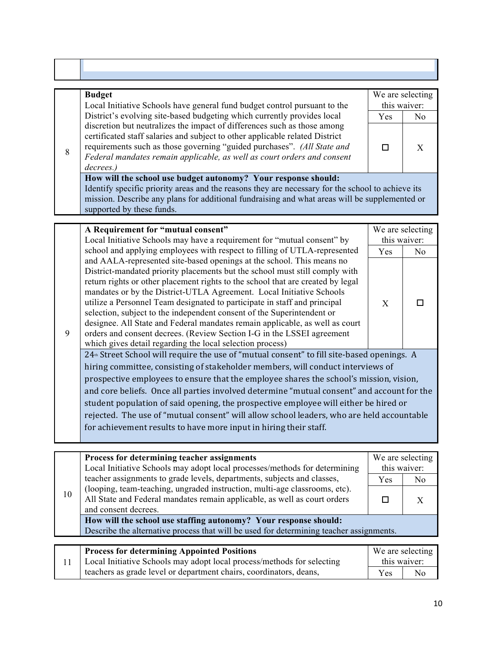|   | <b>Budget</b>                                                                                                                                            | We are selecting |     |
|---|----------------------------------------------------------------------------------------------------------------------------------------------------------|------------------|-----|
|   | Local Initiative Schools have general fund budget control pursuant to the                                                                                | this waiver:     |     |
|   | District's evolving site-based budgeting which currently provides local                                                                                  | <b>Yes</b>       | No. |
|   | discretion but neutralizes the impact of differences such as those among<br>certificated staff salaries and subject to other applicable related District |                  |     |
| Q | requirements such as those governing "guided purchases". (All State and                                                                                  |                  |     |

8 requirements such as those governing "guided purchases". *(All State and Federal mandates remain applicable, as well as court orders and consent decrees.)*

**How will the school use budget autonomy? Your response should:**

Identify specific priority areas and the reasons they are necessary for the school to achieve its mission. Describe any plans for additional fundraising and what areas will be supplemented or supported by these funds.

|   | A Requirement for "mutual consent"                                                                                                                                                                                                                                                                                                                                                                                                                                                                                                                                                                                                                                                            |              | We are selecting |  |
|---|-----------------------------------------------------------------------------------------------------------------------------------------------------------------------------------------------------------------------------------------------------------------------------------------------------------------------------------------------------------------------------------------------------------------------------------------------------------------------------------------------------------------------------------------------------------------------------------------------------------------------------------------------------------------------------------------------|--------------|------------------|--|
|   | Local Initiative Schools may have a requirement for "mutual consent" by                                                                                                                                                                                                                                                                                                                                                                                                                                                                                                                                                                                                                       | this waiver: |                  |  |
|   | school and applying employees with respect to filling of UTLA-represented                                                                                                                                                                                                                                                                                                                                                                                                                                                                                                                                                                                                                     | Yes.         | No.              |  |
| 9 | and AALA-represented site-based openings at the school. This means no<br>District-mandated priority placements but the school must still comply with<br>return rights or other placement rights to the school that are created by legal<br>mandates or by the District-UTLA Agreement. Local Initiative Schools<br>utilize a Personnel Team designated to participate in staff and principal<br>selection, subject to the independent consent of the Superintendent or<br>designee. All State and Federal mandates remain applicable, as well as court<br>orders and consent decrees. (Review Section I-G in the LSSEI agreement<br>which gives detail regarding the local selection process) | X            |                  |  |
|   | 24 <sup>th</sup> Street School will require the use of "mutual consent" to fill site-based openings. A                                                                                                                                                                                                                                                                                                                                                                                                                                                                                                                                                                                        |              |                  |  |
|   | hiring committee, consisting of stakeholder members, will conduct interviews of                                                                                                                                                                                                                                                                                                                                                                                                                                                                                                                                                                                                               |              |                  |  |
|   | prospective employees to ensure that the employee shares the school's mission, vision,                                                                                                                                                                                                                                                                                                                                                                                                                                                                                                                                                                                                        |              |                  |  |
|   | and core beliefs. Once all parties involved determine "mutual consent" and account for the                                                                                                                                                                                                                                                                                                                                                                                                                                                                                                                                                                                                    |              |                  |  |
|   | student population of said opening, the prospective employee will either be hired or                                                                                                                                                                                                                                                                                                                                                                                                                                                                                                                                                                                                          |              |                  |  |
|   | rejected. The use of "mutual consent" will allow school leaders, who are held accountable                                                                                                                                                                                                                                                                                                                                                                                                                                                                                                                                                                                                     |              |                  |  |
|   | for achievement results to have more input in hiring their staff.                                                                                                                                                                                                                                                                                                                                                                                                                                                                                                                                                                                                                             |              |                  |  |
|   |                                                                                                                                                                                                                                                                                                                                                                                                                                                                                                                                                                                                                                                                                               |              |                  |  |

| 10 | Process for determining teacher assignments<br>Local Initiative Schools may adopt local processes/methods for determining                                                       | this waiver: | We are selecting |
|----|---------------------------------------------------------------------------------------------------------------------------------------------------------------------------------|--------------|------------------|
|    | teacher assignments to grade levels, departments, subjects and classes,                                                                                                         | <b>Yes</b>   | N <sub>0</sub>   |
|    | (looping, team-teaching, ungraded instruction, multi-age classrooms, etc).<br>All State and Federal mandates remain applicable, as well as court orders<br>and consent decrees. |              |                  |
|    | How will the school use staffing autonomy? Your response should:                                                                                                                |              |                  |
|    | Describe the alternative process that will be used for determining teacher assignments.                                                                                         |              |                  |
|    |                                                                                                                                                                                 |              |                  |
|    | <b>Process for determining Appointed Positions</b>                                                                                                                              |              | We are selecting |

| <b>Process for determining Appointed Positions</b>                     | We are selecting |     |
|------------------------------------------------------------------------|------------------|-----|
| Local Initiative Schools may adopt local process/methods for selecting | this waiver:     |     |
| teachers as grade level or department chairs, coordinators, deans,     | <b>Yes</b>       | No. |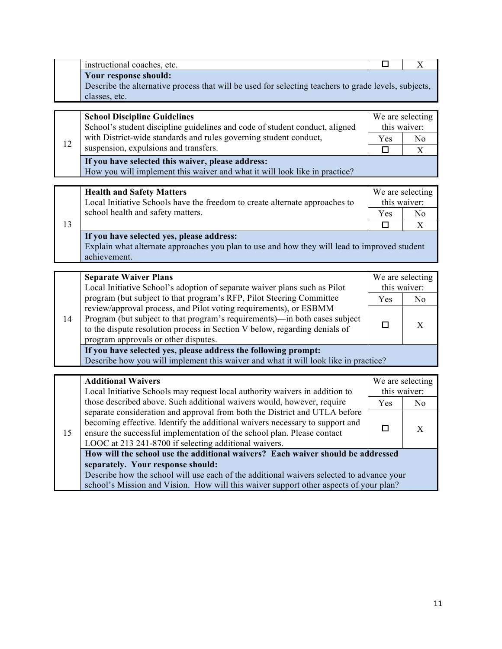|    | instructional coaches, etc.                                                                                                   | $\Box$                                    | $\mathbf X$      |  |
|----|-------------------------------------------------------------------------------------------------------------------------------|-------------------------------------------|------------------|--|
|    | Your response should:                                                                                                         |                                           |                  |  |
|    | Describe the alternative process that will be used for selecting teachers to grade levels, subjects,                          |                                           |                  |  |
|    | classes, etc.                                                                                                                 |                                           |                  |  |
|    | <b>School Discipline Guidelines</b>                                                                                           |                                           | We are selecting |  |
|    | School's student discipline guidelines and code of student conduct, aligned                                                   | this waiver:                              |                  |  |
|    | with District-wide standards and rules governing student conduct,                                                             | Yes                                       | No               |  |
| 12 | suspension, expulsions and transfers.                                                                                         | □                                         | X                |  |
|    | If you have selected this waiver, please address:                                                                             |                                           |                  |  |
|    | How you will implement this waiver and what it will look like in practice?                                                    |                                           |                  |  |
|    |                                                                                                                               |                                           |                  |  |
|    | <b>Health and Safety Matters</b>                                                                                              |                                           | We are selecting |  |
|    | Local Initiative Schools have the freedom to create alternate approaches to                                                   | this waiver:                              |                  |  |
|    | school health and safety matters.                                                                                             | Yes                                       | No               |  |
| 13 |                                                                                                                               | $\Box$                                    | X                |  |
|    |                                                                                                                               | If you have selected yes, please address: |                  |  |
|    | Explain what alternate approaches you plan to use and how they will lead to improved student                                  |                                           |                  |  |
|    | achievement.                                                                                                                  |                                           |                  |  |
|    | <b>Separate Waiver Plans</b>                                                                                                  |                                           | We are selecting |  |
|    | Local Initiative School's adoption of separate waiver plans such as Pilot                                                     | this waiver:                              |                  |  |
|    | program (but subject to that program's RFP, Pilot Steering Committee                                                          | Yes                                       | N <sub>o</sub>   |  |
|    | review/approval process, and Pilot voting requirements), or ESBMM                                                             |                                           |                  |  |
| 14 | Program (but subject to that program's requirements)—in both cases subject                                                    | $\Box$                                    | X                |  |
|    | to the dispute resolution process in Section V below, regarding denials of                                                    |                                           |                  |  |
|    | program approvals or other disputes.                                                                                          |                                           |                  |  |
|    | If you have selected yes, please address the following prompt:                                                                |                                           |                  |  |
|    | Describe how you will implement this waiver and what it will look like in practice?                                           |                                           |                  |  |
|    | <b>Additional Waivers</b>                                                                                                     |                                           | We are selecting |  |
|    | Local Initiative Schools may request local authority waivers in addition to                                                   | this waiver:                              |                  |  |
|    | those described above. Such additional waivers would, however, require                                                        | Yes                                       | N <sub>o</sub>   |  |
|    | separate consideration and approval from both the District and UTLA before                                                    |                                           |                  |  |
| 15 | becoming effective. Identify the additional waivers necessary to support and                                                  | $\Box$                                    | X                |  |
|    | ensure the successful implementation of the school plan. Please contact                                                       |                                           |                  |  |
|    | LOOC at 213 241-8700 if selecting additional waivers.                                                                         |                                           |                  |  |
|    | How will the school use the additional waivers? Each waiver should be addressed                                               |                                           |                  |  |
|    | separately. Your response should:<br>Describe how the school will use each of the additional waivers selected to advance your |                                           |                  |  |
|    | school's Mission and Vision. How will this waiver support other aspects of your plan?                                         |                                           |                  |  |
|    |                                                                                                                               |                                           |                  |  |

school's Mission and Vision. How will this waiver support other aspects of your plan?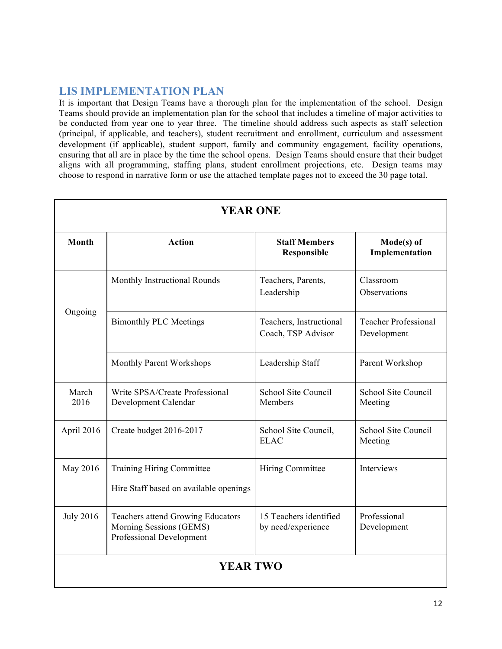### **LIS IMPLEMENTATION PLAN**

It is important that Design Teams have a thorough plan for the implementation of the school. Design Teams should provide an implementation plan for the school that includes a timeline of major activities to be conducted from year one to year three. The timeline should address such aspects as staff selection (principal, if applicable, and teachers), student recruitment and enrollment, curriculum and assessment development (if applicable), student support, family and community engagement, facility operations, ensuring that all are in place by the time the school opens. Design Teams should ensure that their budget aligns with all programming, staffing plans, student enrollment projections, etc. Design teams may choose to respond in narrative form or use the attached template pages not to exceed the 30 page total.

| <b>YEAR ONE</b>  |                                                                                          |                                               |                                            |  |
|------------------|------------------------------------------------------------------------------------------|-----------------------------------------------|--------------------------------------------|--|
| <b>Month</b>     | <b>Action</b>                                                                            | <b>Staff Members</b><br>Responsible           | Mode(s) of<br>Implementation               |  |
|                  | Monthly Instructional Rounds                                                             | Teachers, Parents,<br>Leadership              | Classroom<br>Observations                  |  |
| Ongoing          | <b>Bimonthly PLC Meetings</b>                                                            | Teachers, Instructional<br>Coach, TSP Advisor | <b>Teacher Professional</b><br>Development |  |
|                  | Monthly Parent Workshops                                                                 | Leadership Staff                              | Parent Workshop                            |  |
| March<br>2016    | Write SPSA/Create Professional<br>Development Calendar                                   | School Site Council<br>Members                | School Site Council<br>Meeting             |  |
| April 2016       | Create budget 2016-2017                                                                  | School Site Council,<br><b>ELAC</b>           | School Site Council<br>Meeting             |  |
| May 2016         | <b>Training Hiring Committee</b><br>Hire Staff based on available openings               | Hiring Committee                              | Interviews                                 |  |
| <b>July 2016</b> | Teachers attend Growing Educators<br>Morning Sessions (GEMS)<br>Professional Development | 15 Teachers identified<br>by need/experience  | Professional<br>Development                |  |
| <b>YEAR TWO</b>  |                                                                                          |                                               |                                            |  |